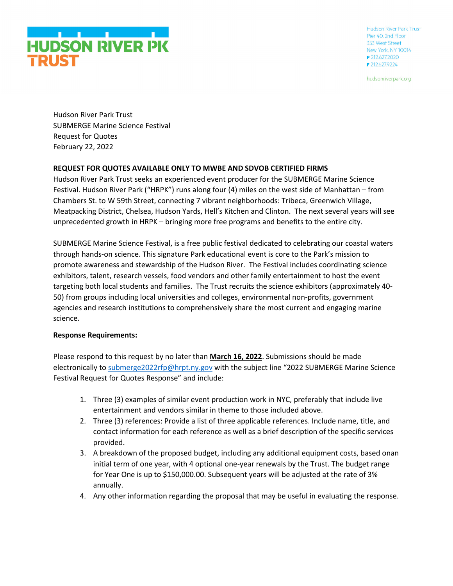

hudsonriverpark.org

Hudson River Park Trust SUBMERGE Marine Science Festival Request for Quotes February 22, 2022

### **REQUEST FOR QUOTES AVAILABLE ONLY TO MWBE AND SDVOB CERTIFIED FIRMS**

Hudson River Park Trust seeks an experienced event producer for the SUBMERGE Marine Science Festival. Hudson River Park ("HRPK") runs along four (4) miles on the west side of Manhattan – from Chambers St. to W 59th Street, connecting 7 vibrant neighborhoods: Tribeca, Greenwich Village, Meatpacking District, Chelsea, Hudson Yards, Hell's Kitchen and Clinton. The next several years will see unprecedented growth in HRPK – bringing more free programs and benefits to the entire city.

SUBMERGE Marine Science Festival, is a free public festival dedicated to celebrating our coastal waters through hands-on science. This signature Park educational event is core to the Park's mission to promote awareness and stewardship of the Hudson River. The Festival includes coordinating science exhibitors, talent, research vessels, food vendors and other family entertainment to host the event targeting both local students and families. The Trust recruits the science exhibitors (approximately 40- 50) from groups including local universities and colleges, environmental non-profits, government agencies and research institutions to comprehensively share the most current and engaging marine science.

### **Response Requirements:**

Please respond to this request by no later than **March 16, 2022**. Submissions should be made electronically to [submerge2022rfp@hrpt.ny.gov](mailto:submerge2022rfp@hrpt.ny.gov) with the subject line "2022 SUBMERGE Marine Science Festival Request for Quotes Response" and include:

- 1. Three (3) examples of similar event production work in NYC, preferably that include live entertainment and vendors similar in theme to those included above.
- 2. Three (3) references: Provide a list of three applicable references. Include name, title, and contact information for each reference as well as a brief description of the specific services provided.
- 3. A breakdown of the proposed budget, including any additional equipment costs, based onan initial term of one year, with 4 optional one-year renewals by the Trust. The budget range for Year One is up to \$150,000.00. Subsequent years will be adjusted at the rate of 3% annually.
- 4. Any other information regarding the proposal that may be useful in evaluating the response.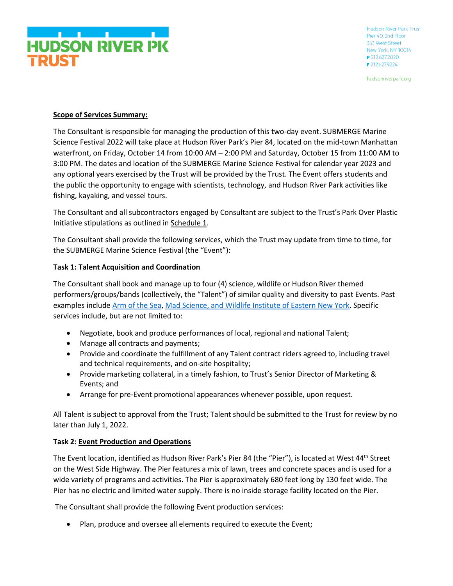

hudsonriverpark.org

### **Scope of Services Summary:**

The Consultant is responsible for managing the production of this two-day event. SUBMERGE Marine Science Festival 2022 will take place at Hudson River Park's Pier 84, located on the mid-town Manhattan waterfront, on Friday, October 14 from 10:00 AM – 2:00 PM and Saturday, October 15 from 11:00 AM to 3:00 PM. The dates and location of the SUBMERGE Marine Science Festival for calendar year 2023 and any optional years exercised by the Trust will be provided by the Trust. The Event offers students and the public the opportunity to engage with scientists, technology, and Hudson River Park activities like fishing, kayaking, and vessel tours.

The Consultant and all subcontractors engaged by Consultant are subject to the Trust's Park Over Plastic Initiative stipulations as outlined in Schedule 1.

The Consultant shall provide the following services, which the Trust may update from time to time, for the SUBMERGE Marine Science Festival (the "Event"):

### **Task 1: Talent Acquisition and Coordination**

The Consultant shall book and manage up to four (4) science, wildlife or Hudson River themed performers/groups/bands (collectively, the "Talent") of similar quality and diversity to past Events. Past examples include [Arm of the Sea,](https://www.armofthesea.org/) [Mad Science,](https://www.madscience.org/) an[d Wildlife Institute of Eastern New York.](https://www.silentwingsraptors.org/) Specific services include, but are not limited to:

- Negotiate, book and produce performances of local, regional and national Talent;
- Manage all contracts and payments;
- Provide and coordinate the fulfillment of any Talent contract riders agreed to, including travel and technical requirements, and on-site hospitality;
- Provide marketing collateral, in a timely fashion, to Trust's Senior Director of Marketing & Events; and
- Arrange for pre-Event promotional appearances whenever possible, upon request.

All Talent is subject to approval from the Trust; Talent should be submitted to the Trust for review by no later than July 1, 2022.

### **Task 2: Event Production and Operations**

The Event location, identified as Hudson River Park's Pier 84 (the "Pier"), is located at West 44<sup>th</sup> Street on the West Side Highway. The Pier features a mix of lawn, trees and concrete spaces and is used for a wide variety of programs and activities. The Pier is approximately 680 feet long by 130 feet wide. The Pier has no electric and limited water supply. There is no inside storage facility located on the Pier.

The Consultant shall provide the following Event production services:

• Plan, produce and oversee all elements required to execute the Event;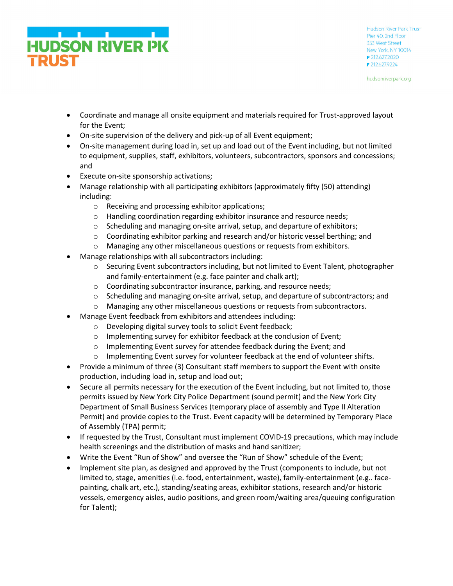

hudsonriverpark.org

- Coordinate and manage all onsite equipment and materials required for Trust-approved layout for the Event;
- On-site supervision of the delivery and pick-up of all Event equipment;
- On-site management during load in, set up and load out of the Event including, but not limited to equipment, supplies, staff, exhibitors, volunteers, subcontractors, sponsors and concessions; and
- Execute on-site sponsorship activations;
- Manage relationship with all participating exhibitors (approximately fifty (50) attending) including:
	- o Receiving and processing exhibitor applications;
	- o Handling coordination regarding exhibitor insurance and resource needs;
	- $\circ$  Scheduling and managing on-site arrival, setup, and departure of exhibitors;
	- $\circ$  Coordinating exhibitor parking and research and/or historic vessel berthing; and
	- o Managing any other miscellaneous questions or requests from exhibitors.
- Manage relationships with all subcontractors including:
	- $\circ$  Securing Event subcontractors including, but not limited to Event Talent, photographer and family-entertainment (e.g. face painter and chalk art);
	- $\circ$  Coordinating subcontractor insurance, parking, and resource needs;
	- $\circ$  Scheduling and managing on-site arrival, setup, and departure of subcontractors; and
	- o Managing any other miscellaneous questions or requests from subcontractors.
- Manage Event feedback from exhibitors and attendees including:
	- o Developing digital survey tools to solicit Event feedback;
	- o Implementing survey for exhibitor feedback at the conclusion of Event;
	- o Implementing Event survey for attendee feedback during the Event; and
	- $\circ$  Implementing Event survey for volunteer feedback at the end of volunteer shifts.
- Provide a minimum of three (3) Consultant staff members to support the Event with onsite production, including load in, setup and load out;
- Secure all permits necessary for the execution of the Event including, but not limited to, those permits issued by New York City Police Department (sound permit) and the New York City Department of Small Business Services (temporary place of assembly and Type II Alteration Permit) and provide copies to the Trust. Event capacity will be determined by Temporary Place of Assembly (TPA) permit;
- If requested by the Trust, Consultant must implement COVID-19 precautions, which may include health screenings and the distribution of masks and hand sanitizer;
- Write the Event "Run of Show" and oversee the "Run of Show" schedule of the Event;
- Implement site plan, as designed and approved by the Trust (components to include, but not limited to, stage, amenities (i.e. food, entertainment, waste), family-entertainment (e.g.. facepainting, chalk art, etc.), standing/seating areas, exhibitor stations, research and/or historic vessels, emergency aisles, audio positions, and green room/waiting area/queuing configuration for Talent);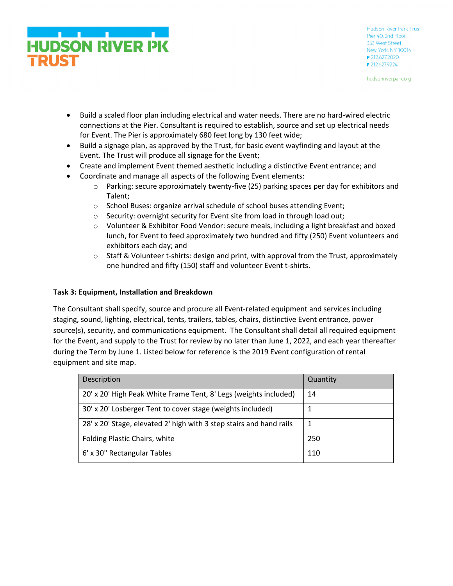

hudsonriverpark.org

- Build a scaled floor plan including electrical and water needs. There are no hard-wired electric connections at the Pier. Consultant is required to establish, source and set up electrical needs for Event. The Pier is approximately 680 feet long by 130 feet wide;
- Build a signage plan, as approved by the Trust, for basic event wayfinding and layout at the Event. The Trust will produce all signage for the Event;
- Create and implement Event themed aesthetic including a distinctive Event entrance; and
- Coordinate and manage all aspects of the following Event elements:
	- o Parking: secure approximately twenty-five (25) parking spaces per day for exhibitors and Talent;
	- o School Buses: organize arrival schedule of school buses attending Event;
	- o Security: overnight security for Event site from load in through load out;
	- $\circ$  Volunteer & Exhibitor Food Vendor: secure meals, including a light breakfast and boxed lunch, for Event to feed approximately two hundred and fifty (250) Event volunteers and exhibitors each day; and
	- $\circ$  Staff & Volunteer t-shirts: design and print, with approval from the Trust, approximately one hundred and fifty (150) staff and volunteer Event t-shirts.

### **Task 3: Equipment, Installation and Breakdown**

The Consultant shall specify, source and procure all Event-related equipment and services including staging, sound, lighting, electrical, tents, trailers, tables, chairs, distinctive Event entrance, power source(s), security, and communications equipment. The Consultant shall detail all required equipment for the Event, and supply to the Trust for review by no later than June 1, 2022, and each year thereafter during the Term by June 1. Listed below for reference is the 2019 Event configuration of rental equipment and site map.

| Description                                                         | Quantity |
|---------------------------------------------------------------------|----------|
| 20' x 20' High Peak White Frame Tent, 8' Legs (weights included)    | 14       |
| 30' x 20' Losberger Tent to cover stage (weights included)          |          |
| 28' x 20' Stage, elevated 2' high with 3 step stairs and hand rails |          |
| Folding Plastic Chairs, white                                       | 250      |
| 6' x 30" Rectangular Tables                                         | 110      |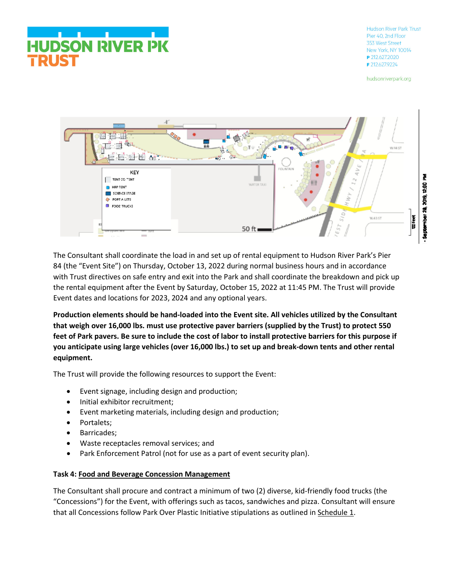# **HUDSON RIVER PK RUST**

Hudson River Park Trust Pier 40 2nd Floor 353 West Street New York, NY 10014 P 212.627.2020 F 212.627.9224

hudsonriverpark.org



The Consultant shall coordinate the load in and set up of rental equipment to Hudson River Park's Pier 84 (the "Event Site") on Thursday, October 13, 2022 during normal business hours and in accordance with Trust directives on safe entry and exit into the Park and shall coordinate the breakdown and pick up the rental equipment after the Event by Saturday, October 15, 2022 at 11:45 PM. The Trust will provide Event dates and locations for 2023, 2024 and any optional years.

**Production elements should be hand-loaded into the Event site. All vehicles utilized by the Consultant that weigh over 16,000 lbs. must use protective paver barriers (supplied by the Trust) to protect 550 feet of Park pavers. Be sure to include the cost of labor to install protective barriers for this purpose if you anticipate using large vehicles (over 16,000 lbs.) to set up and break-down tents and other rental equipment.**

The Trust will provide the following resources to support the Event:

- Event signage, including design and production;
- Initial exhibitor recruitment;
- Event marketing materials, including design and production;
- Portalets;
- Barricades;
- Waste receptacles removal services; and
- Park Enforcement Patrol (not for use as a part of event security plan).

## **Task 4: Food and Beverage Concession Management**

The Consultant shall procure and contract a minimum of two (2) diverse, kid-friendly food trucks (the "Concessions") for the Event, with offerings such as tacos, sandwiches and pizza. Consultant will ensure that all Concessions follow Park Over Plastic Initiative stipulations as outlined in Schedule 1.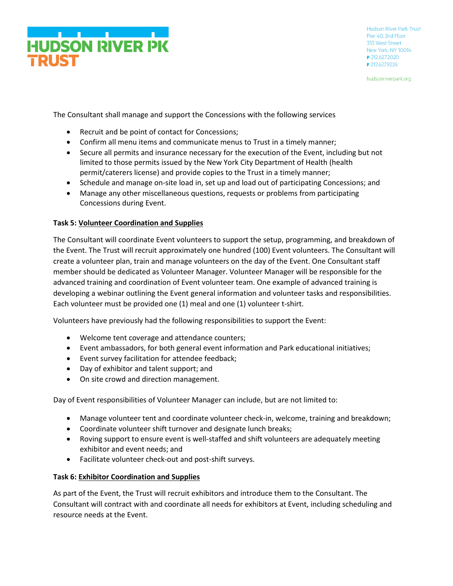

hudsonriverpark.org

The Consultant shall manage and support the Concessions with the following services

- Recruit and be point of contact for Concessions;
- Confirm all menu items and communicate menus to Trust in a timely manner;
- Secure all permits and insurance necessary for the execution of the Event, including but not limited to those permits issued by the New York City Department of Health (health permit/caterers license) and provide copies to the Trust in a timely manner;
- Schedule and manage on-site load in, set up and load out of participating Concessions; and
- Manage any other miscellaneous questions, requests or problems from participating Concessions during Event.

### **Task 5: Volunteer Coordination and Supplies**

The Consultant will coordinate Event volunteers to support the setup, programming, and breakdown of the Event. The Trust will recruit approximately one hundred (100) Event volunteers. The Consultant will create a volunteer plan, train and manage volunteers on the day of the Event. One Consultant staff member should be dedicated as Volunteer Manager. Volunteer Manager will be responsible for the advanced training and coordination of Event volunteer team. One example of advanced training is developing a webinar outlining the Event general information and volunteer tasks and responsibilities. Each volunteer must be provided one (1) meal and one (1) volunteer t-shirt.

Volunteers have previously had the following responsibilities to support the Event:

- Welcome tent coverage and attendance counters;
- Event ambassadors, for both general event information and Park educational initiatives;
- Event survey facilitation for attendee feedback;
- Day of exhibitor and talent support; and
- On site crowd and direction management.

Day of Event responsibilities of Volunteer Manager can include, but are not limited to:

- Manage volunteer tent and coordinate volunteer check-in, welcome, training and breakdown;
- Coordinate volunteer shift turnover and designate lunch breaks;
- Roving support to ensure event is well-staffed and shift volunteers are adequately meeting exhibitor and event needs; and
- Facilitate volunteer check-out and post-shift surveys.

#### **Task 6: Exhibitor Coordination and Supplies**

As part of the Event, the Trust will recruit exhibitors and introduce them to the Consultant. The Consultant will contract with and coordinate all needs for exhibitors at Event, including scheduling and resource needs at the Event.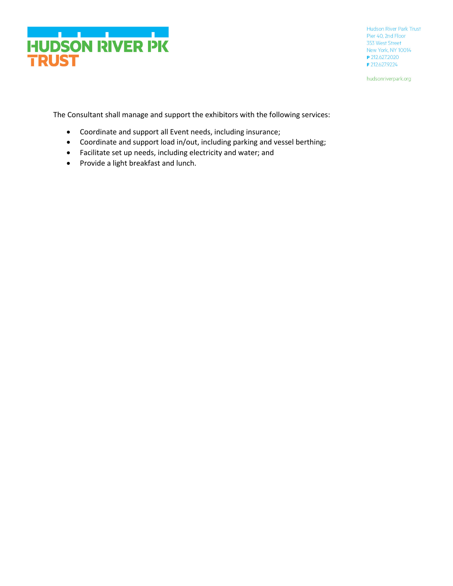

hudsonriverpark.org

The Consultant shall manage and support the exhibitors with the following services:

- Coordinate and support all Event needs, including insurance;
- Coordinate and support load in/out, including parking and vessel berthing;
- Facilitate set up needs, including electricity and water; and
- Provide a light breakfast and lunch.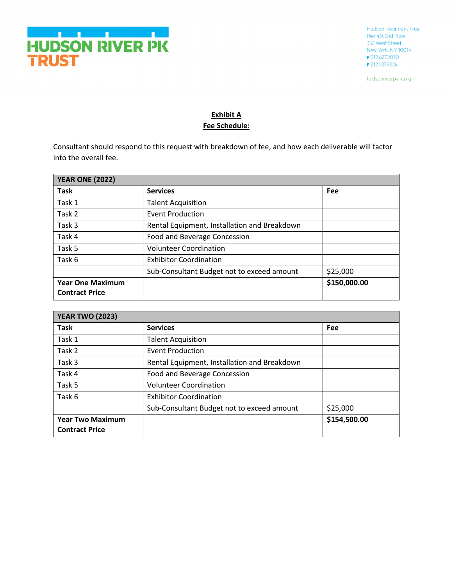

hudsonriverpark.org

## **Exhibit A Fee Schedule:**

Consultant should respond to this request with breakdown of fee, and how each deliverable will factor into the overall fee.

| <b>YEAR ONE (2022)</b>                           |                                              |              |
|--------------------------------------------------|----------------------------------------------|--------------|
| <b>Task</b>                                      | <b>Services</b>                              | Fee          |
| Task 1                                           | <b>Talent Acquisition</b>                    |              |
| Task 2                                           | <b>Event Production</b>                      |              |
| Task 3                                           | Rental Equipment, Installation and Breakdown |              |
| Task 4                                           | Food and Beverage Concession                 |              |
| Task 5                                           | <b>Volunteer Coordination</b>                |              |
| Task 6                                           | <b>Exhibitor Coordination</b>                |              |
|                                                  | Sub-Consultant Budget not to exceed amount   | \$25,000     |
| <b>Year One Maximum</b><br><b>Contract Price</b> |                                              | \$150,000.00 |

| <b>YEAR TWO (2023)</b>                           |                                              |              |
|--------------------------------------------------|----------------------------------------------|--------------|
| <b>Task</b>                                      | <b>Services</b>                              | <b>Fee</b>   |
| Task 1                                           | <b>Talent Acquisition</b>                    |              |
| Task 2                                           | <b>Event Production</b>                      |              |
| Task 3                                           | Rental Equipment, Installation and Breakdown |              |
| Task 4                                           | Food and Beverage Concession                 |              |
| Task 5                                           | <b>Volunteer Coordination</b>                |              |
| Task 6                                           | <b>Exhibitor Coordination</b>                |              |
|                                                  | Sub-Consultant Budget not to exceed amount   | \$25,000     |
| <b>Year Two Maximum</b><br><b>Contract Price</b> |                                              | \$154,500.00 |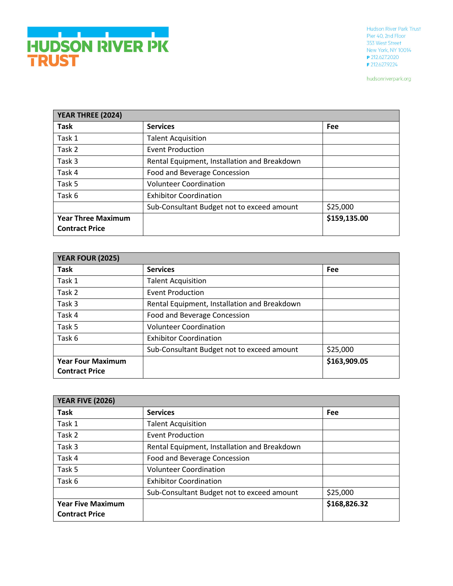hudsonriverpark.org

| YEAR THREE (2024)                                  |                                              |              |
|----------------------------------------------------|----------------------------------------------|--------------|
| <b>Task</b>                                        | <b>Services</b>                              | Fee          |
| Task 1                                             | <b>Talent Acquisition</b>                    |              |
| Task 2                                             | <b>Event Production</b>                      |              |
| Task 3                                             | Rental Equipment, Installation and Breakdown |              |
| Task 4                                             | Food and Beverage Concession                 |              |
| Task 5                                             | <b>Volunteer Coordination</b>                |              |
| Task 6                                             | <b>Exhibitor Coordination</b>                |              |
|                                                    | Sub-Consultant Budget not to exceed amount   | \$25,000     |
| <b>Year Three Maximum</b><br><b>Contract Price</b> |                                              | \$159,135.00 |

| <b>YEAR FOUR (2025)</b>                           |                                              |              |
|---------------------------------------------------|----------------------------------------------|--------------|
| <b>Task</b>                                       | <b>Services</b>                              | Fee          |
| Task 1                                            | <b>Talent Acquisition</b>                    |              |
| Task 2                                            | <b>Event Production</b>                      |              |
| Task 3                                            | Rental Equipment, Installation and Breakdown |              |
| Task 4                                            | Food and Beverage Concession                 |              |
| Task 5                                            | <b>Volunteer Coordination</b>                |              |
| Task 6                                            | <b>Exhibitor Coordination</b>                |              |
|                                                   | Sub-Consultant Budget not to exceed amount   | \$25,000     |
| <b>Year Four Maximum</b><br><b>Contract Price</b> |                                              | \$163,909.05 |

| <b>YEAR FIVE (2026)</b>                           |                                              |              |
|---------------------------------------------------|----------------------------------------------|--------------|
| <b>Task</b>                                       | <b>Services</b>                              | Fee          |
| Task 1                                            | <b>Talent Acquisition</b>                    |              |
| Task 2                                            | <b>Event Production</b>                      |              |
| Task 3                                            | Rental Equipment, Installation and Breakdown |              |
| Task 4                                            | Food and Beverage Concession                 |              |
| Task 5                                            | <b>Volunteer Coordination</b>                |              |
| Task 6                                            | <b>Exhibitor Coordination</b>                |              |
|                                                   | Sub-Consultant Budget not to exceed amount   | \$25,000     |
| <b>Year Five Maximum</b><br><b>Contract Price</b> |                                              | \$168,826.32 |